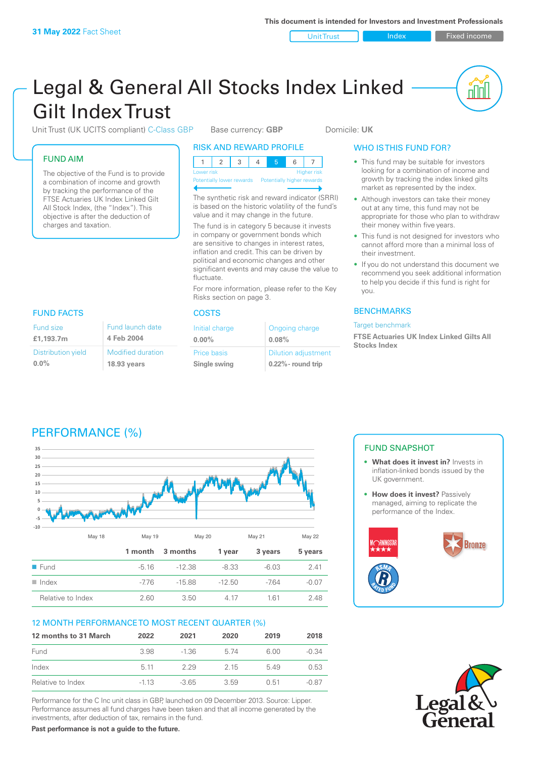Unit Trust Index Fixed income

<u>nul</u>

# Legal & General All Stocks Index Linked Gilt Index Trust

Unit Trust (UK UCITS compliant) C-Class GBP Base currency: GBP Domicile: UK

|  |  | <b>FUND AIM</b> |  |
|--|--|-----------------|--|
|  |  |                 |  |

Fund size **£1,193.7m**

**0.0%**

Distribution yield

The objective of the Fund is to provide a combination of income and growth by tracking the performance of the FTSE Actuaries UK Index Linked Gilt All Stock Index, (the "Index"). This objective is after the deduction of charges and taxation.

> Modified duration **18.93 years**

Fund launch date **4 Feb 2004**

| RISK AND REWARD PROFILE |  |  |
|-------------------------|--|--|
|-------------------------|--|--|

| Lower risk |  |  |  | <b>Higher</b> risk |  |
|------------|--|--|--|--------------------|--|

Potentially lower rewards Potentially higher rewards

The synthetic risk and reward indicator (SRRI) is based on the historic volatility of the fund's value and it may change in the future.

The fund is in category 5 because it invests in company or government bonds which are sensitive to changes in interest rates inflation and credit. This can be driven by political and economic changes and other significant events and may cause the value to fluctuate.

For more information, please refer to the Key Risks section on page 3.

# FUND FACTS COSTS

| Initial charge | Ongoing charge             |
|----------------|----------------------------|
| $0.00\%$       | 0.08%                      |
| Price basis    | <b>Dilution adjustment</b> |
| Single swing   | $0.22\%$ - round trip      |

# WHO IS THIS FUND FOR?

- This fund may be suitable for investors looking for a combination of income and growth by tracking the index linked gilts market as represented by the index.
- Although investors can take their money out at any time, this fund may not be appropriate for those who plan to withdraw their money within five years.
- This fund is not designed for investors who cannot afford more than a minimal loss of their investment.
- If you do not understand this document we recommend you seek additional information to help you decide if this fund is right for you.

# **BENCHMARKS**

#### Target benchmark

**FTSE Actuaries UK Index Linked Gilts All Stocks Index**

# PERFORMANCE (%)



# 12 MONTH PERFORMANCE TO MOST RECENT QUARTER (%)

| 12 months to 31 March | 2022   | 2021    | 2020 | 2019 | 2018    |
|-----------------------|--------|---------|------|------|---------|
| Fund                  | 3.98   | $-1.36$ | 5 74 | 6.00 | -0.34   |
| Index                 | 5 1 1  | 229     | 2 15 | 549  | 0.53    |
| Relative to Index     | $-113$ | $-365$  | 359  | 0.51 | $-0.87$ |

Performance for the C Inc unit class in GBP, launched on 09 December 2013. Source: Lipper. Performance assumes all fund charges have been taken and that all income generated by the investments, after deduction of tax, remains in the fund.

FUND SNAPSHOT

- **• What does it invest in?** Invests in inflation-linked bonds issued by the UK government.
- **• How does it invest?** Passively managed, aiming to replicate the performance of the Index.





**Past performance is not a guide to the future.**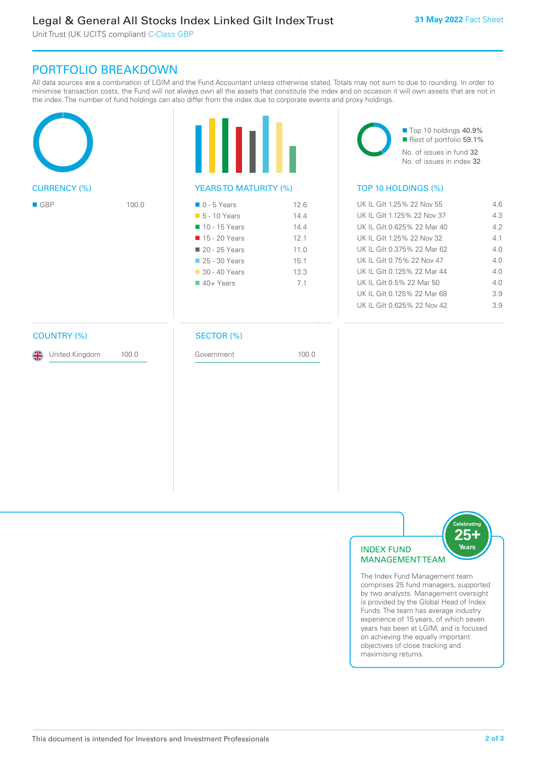Unit Trust (UK UCITS compliant) C-Class GBP

# PORTFOLIO BREAKDOWN

All data sources are a combination of LGIM and the Fund Accountant unless otherwise stated. Totals may not sum to due to rounding. In order to minimise transaction costs, the Fund will not always own all the assets that constitute the index and on occasion it will own assets that are not in the index. The number of fund holdings can also differ from the index due to corporate events and proxy holdings.





| $\Box$ 0 - 5 Years          | 12.6 |
|-----------------------------|------|
| $\blacksquare$ 5 - 10 Years | 14.4 |
| 10 - 15 Years               | 144  |
| ■ 15 - 20 Years             | 12.1 |
| ■ 20 - 25 Years             | 11.0 |
| 25 - 30 Years               | 15.1 |
| 30 - 40 Years               | 13.3 |
| $40+Years$                  | 71   |
|                             |      |

■ Top 10 holdings 40.9% Rest of portfolio 59.1%

No. of issues in fund 32 No. of issues in index 32

# TOP 10 HOLDINGS (%)

| $\blacksquare$ GBP | 100.0 | $\blacksquare$ 0 - 5 Years  | 12.6 | UK IL Gilt 1.25% 22 Nov 55  | 4.6 |
|--------------------|-------|-----------------------------|------|-----------------------------|-----|
|                    |       | $\blacksquare$ 5 - 10 Years | 14.4 | UK IL Gilt 1.125% 22 Nov 37 | 4.3 |
|                    |       | 10 - 15 Years               | 14.4 | UK IL Gilt 0.625% 22 Mar 40 | 4.2 |
|                    |       | ■ 15 - 20 Years             | 12.1 | UK IL Gilt 1.25% 22 Nov 32  | 4.1 |
|                    |       | 20 - 25 Years               | 11.0 | UK IL Gilt 0.375% 22 Mar 62 | 4.0 |
|                    |       | 25 - 30 Years               | 15.1 | UK IL Gilt 0.75% 22 Nov 47  | 4.0 |
|                    |       | $\Box$ 30 - 40 Years        | 13.3 | UK IL Gilt 0.125% 22 Mar 44 | 4.0 |
|                    |       | $40+$ Years                 | 7.1  | UK IL Gilt 0.5% 22 Mar 50   | 4.0 |
|                    |       |                             |      | UK IL Gilt 0.125% 22 Mar 68 | 3.9 |
|                    |       |                             |      | UK IL Gilt 0.625% 22 Nov 42 | 3.9 |
|                    |       |                             |      |                             |     |

# COUNTRY (%)

United Kingdom 100.0

# SECTOR (%)

Government 100.0



The Index Fund Management team comprises 25 fund managers, supported by two analysts. Management oversight is provided by the Global Head of Index Funds. The team has average industry experience of 15 years, of which seven years has been at LGIM, and is focused on achieving the equally important objectives of close tracking and maximising returns.